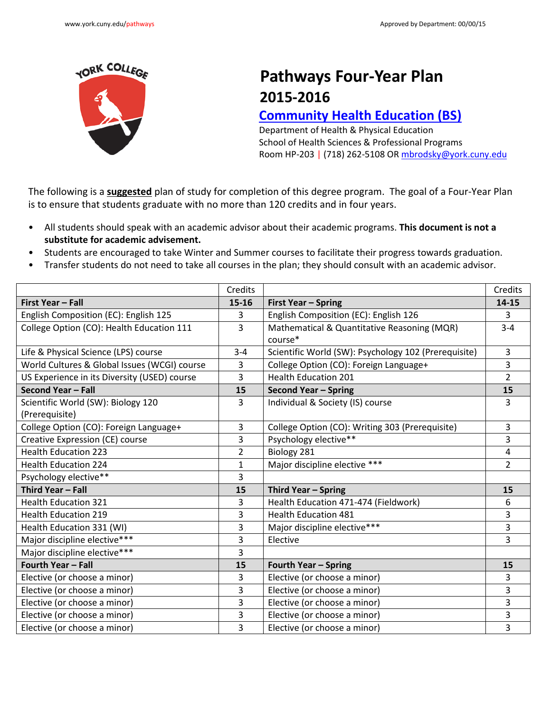

## **Pathways Four-Year Plan 2015-2016**

## **[Community Health Education](http://www.york.cuny.edu/produce-and-print/contents/bulletin/school-of-health-and-behavioral-sciences/health-and-physical-education/community-health-education-bs) (BS)**

Department of Health & Physical Education School of Health Sciences & Professional Programs Room HP-203 | (718) 262-5108 OR [mbrodsky@york.cuny.edu](mailto:mbrodsky@york.cuny.edu)

The following is a **suggested** plan of study for completion of this degree program. The goal of a Four-Year Plan is to ensure that students graduate with no more than 120 credits and in four years.

- All students should speak with an academic advisor about their academic programs. **This document is not a substitute for academic advisement.**
- Students are encouraged to take Winter and Summer courses to facilitate their progress towards graduation.
- Transfer students do not need to take all courses in the plan; they should consult with an academic advisor.

|                                              | Credits      |                                                      | Credits        |
|----------------------------------------------|--------------|------------------------------------------------------|----------------|
| First Year - Fall                            | $15 - 16$    | First Year - Spring                                  | 14-15          |
| English Composition (EC): English 125        | 3            | English Composition (EC): English 126                | 3              |
| College Option (CO): Health Education 111    | 3            | Mathematical & Quantitative Reasoning (MQR)          | $3 - 4$        |
|                                              |              | course*                                              |                |
| Life & Physical Science (LPS) course         | $3 - 4$      | Scientific World (SW): Psychology 102 (Prerequisite) | $\overline{3}$ |
| World Cultures & Global Issues (WCGI) course | 3            | College Option (CO): Foreign Language+               | 3              |
| US Experience in its Diversity (USED) course | 3            | <b>Health Education 201</b>                          | $\overline{2}$ |
| Second Year - Fall                           | 15           | <b>Second Year - Spring</b>                          | 15             |
| Scientific World (SW): Biology 120           | 3            | Individual & Society (IS) course                     | 3              |
| (Prerequisite)                               |              |                                                      |                |
| College Option (CO): Foreign Language+       | 3            | College Option (CO): Writing 303 (Prerequisite)      | 3              |
| Creative Expression (CE) course              | 3            | Psychology elective**                                | 3              |
| <b>Health Education 223</b>                  | 2            | Biology 281                                          | 4              |
| <b>Health Education 224</b>                  | $\mathbf{1}$ | Major discipline elective ***                        | $\overline{2}$ |
| Psychology elective**                        | 3            |                                                      |                |
| <b>Third Year - Fall</b>                     | 15           | Third Year - Spring                                  | 15             |
| <b>Health Education 321</b>                  | 3            | Health Education 471-474 (Fieldwork)                 | 6              |
| <b>Health Education 219</b>                  | 3            | <b>Health Education 481</b>                          | 3              |
| Health Education 331 (WI)                    | 3            | Major discipline elective***                         | 3              |
| Major discipline elective***                 | 3            | Elective                                             | 3              |
| Major discipline elective***                 | 3            |                                                      |                |
| Fourth Year - Fall                           | 15           | <b>Fourth Year - Spring</b>                          | 15             |
| Elective (or choose a minor)                 | 3            | Elective (or choose a minor)                         | 3              |
| Elective (or choose a minor)                 | 3            | Elective (or choose a minor)                         | 3              |
| Elective (or choose a minor)                 | 3            | Elective (or choose a minor)                         | 3              |
| Elective (or choose a minor)                 | 3            | Elective (or choose a minor)                         | 3              |
| Elective (or choose a minor)                 | 3            | Elective (or choose a minor)                         | 3              |